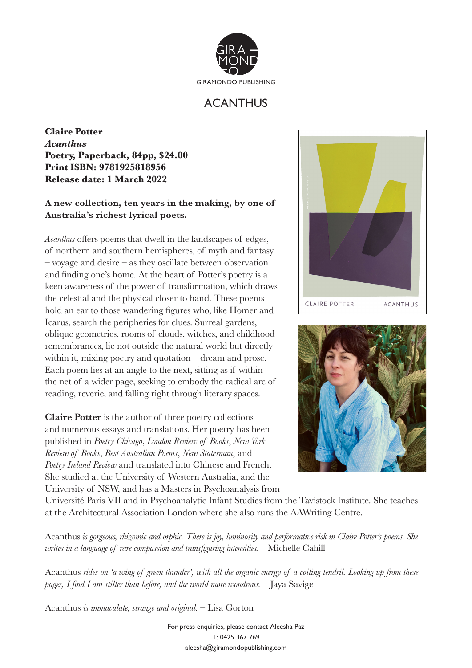

## ACANTHUS

**Claire Potter** *Acanthus* **Poetry, Paperback, 84pp, \$24.00 Print ISBN: 9781925818956 Release date: 1 March 2022**

## **A new collection, ten years in the making, by one of Australia's richest lyrical poets.**

*Acanthus* offers poems that dwell in the landscapes of edges, of northern and southern hemispheres, of myth and fantasy  $-$  voyage and desire  $-$  as they oscillate between observation and finding one's home. At the heart of Potter's poetry is a keen awareness of the power of transformation, which draws the celestial and the physical closer to hand. These poems hold an ear to those wandering figures who, like Homer and Icarus, search the peripheries for clues. Surreal gardens, oblique geometries, rooms of clouds, witches, and childhood remembrances, lie not outside the natural world but directly within it, mixing poetry and quotation – dream and prose. Each poem lies at an angle to the next, sitting as if within the net of a wider page, seeking to embody the radical arc of reading, reverie, and falling right through literary spaces.

**Claire Potter** is the author of three poetry collections and numerous essays and translations. Her poetry has been published in *Poetry Chicago*, *London Review of Books*, *New York Review of Books*, *Best Australian Poems*, *New Statesman*, and *Poetry Ireland Review* and translated into Chinese and French. She studied at the University of Western Australia, and the University of NSW, and has a Masters in Psychoanalysis from





Université Paris VII and in Psychoanalytic Infant Studies from the Tavistock Institute. She teaches at the Architectural Association London where she also runs the AAWriting Centre.

Acanthus *is gorgeous, rhizomic and orphic. There is joy, luminosity and performative risk in Claire Potter's poems. She writes in a language of rare compassion and transfiguring intensities. –* Michelle Cahill

Acanthus *rides on 'a wing of green thunder', with all the organic energy of a coiling tendril. Looking up from these pages, I find I am stiller than before, and the world more wondrous.* – Jaya Savige

Acanthus *is immaculate, strange and original.* – Lisa Gorton

For press enquiries, please contact Aleesha Paz T: 0425 367 769 aleesha@giramondopublishing.com